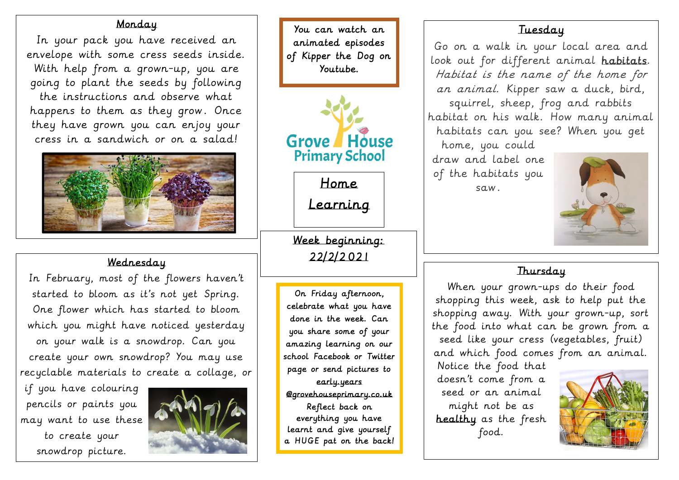Home

Learning

### Monday

In your pack you have received an envelope with some cress seeds inside. With help from a grown-up, you are going to plant the seeds by following the instructions and observe what happens to them as they grow. Once they have grown you can enjoy your cress in a sandwich or on a salad!



Go on a walk in your local area and look out for different animal habitats. Habitat is the name of the home for an animal. Kipper saw a duck, bird, squirrel, sheep, frog and rabbits habitat on his walk. How many animal habitats can you see? When you get home, you could draw and label one of the habitats you saw .

# Wednesday

In February, most of the flowers haven't started to bloom as it's not yet Spring. One flower which has started to bloom which you might have noticed yesterday on your walk is a snowdrop. Can you create your own snowdrop? You may use recyclable materials to create a collage, or

if you have colouring pencils or paints you may want to use these to create your snowdrop picture.



# Thursday

When your grown-ups do their food shopping this week, ask to help put the shopping away. With your grown-up, sort the food into what can be grown from a seed like your cress (vegetables, fruit) and which food comes from an animal. Notice the food that doesn't come from a seed or an animal might not be as healthy as the fresh food.

## **Tuesday**



You can watch an animated episodes of Kipper the Dog on Youtube.



On Friday afternoon, celebrate what you have done in the week. Can you share some of your amazing learning on our school Facebook or Twitter page or send pictures to early.years @grovehouseprimary.co.uk Reflect back on everything you have learnt and give yourself a HUGE pat on the back!

Week beginning: 22/2/2 02 1